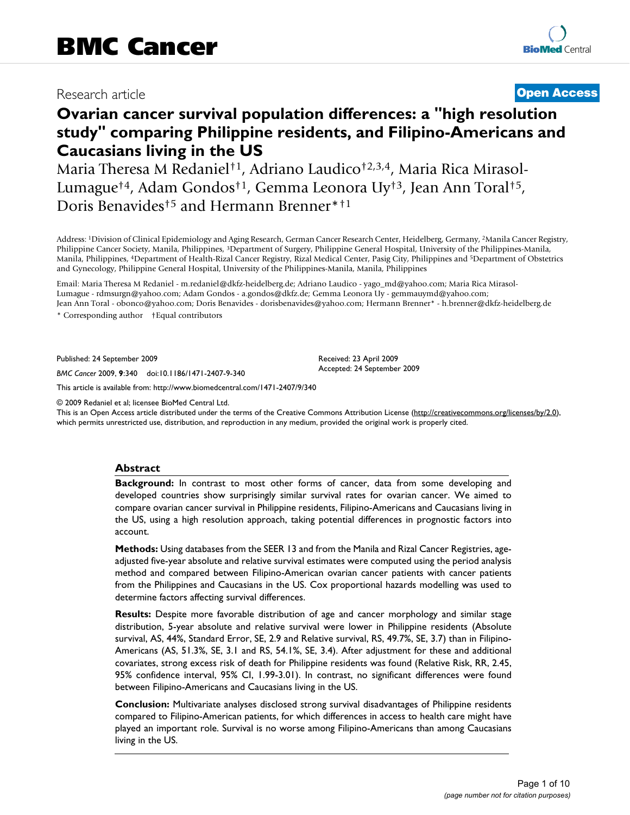## Research article **[Open Access](http://www.biomedcentral.com/info/about/charter/)**

# **Ovarian cancer survival population differences: a "high resolution study" comparing Philippine residents, and Filipino-Americans and Caucasians living in the US**

Maria Theresa M Redaniel†1, Adriano Laudico†2,3,4, Maria Rica Mirasol-Lumague†4, Adam Gondos†1, Gemma Leonora Uy†3, Jean Ann Toral†5, Doris Benavides†5 and Hermann Brenner\*†1

Address: 1Division of Clinical Epidemiology and Aging Research, German Cancer Research Center, Heidelberg, Germany, 2Manila Cancer Registry, Philippine Cancer Society, Manila, Philippines, 3Department of Surgery, Philippine General Hospital, University of the Philippines-Manila, Manila, Philippines, 4Department of Health-Rizal Cancer Registry, Rizal Medical Center, Pasig City, Philippines and 5Department of Obstetrics and Gynecology, Philippine General Hospital, University of the Philippines-Manila, Manila, Philippines

Email: Maria Theresa M Redaniel - m.redaniel@dkfz-heidelberg.de; Adriano Laudico - yago\_md@yahoo.com; Maria Rica Mirasol-Lumague - rdmsurgn@yahoo.com; Adam Gondos - a.gondos@dkfz.de; Gemma Leonora Uy - gemmauymd@yahoo.com; Jean Ann Toral - obonco@yahoo.com; Doris Benavides - dorisbenavides@yahoo.com; Hermann Brenner\* - h.brenner@dkfz-heidelberg.de \* Corresponding author †Equal contributors

Published: 24 September 2009

*BMC Cancer* 2009, **9**:340 doi:10.1186/1471-2407-9-340

[This article is available from: http://www.biomedcentral.com/1471-2407/9/340](http://www.biomedcentral.com/1471-2407/9/340)

© 2009 Redaniel et al; licensee BioMed Central Ltd.

This is an Open Access article distributed under the terms of the Creative Commons Attribution License [\(http://creativecommons.org/licenses/by/2.0\)](http://creativecommons.org/licenses/by/2.0), which permits unrestricted use, distribution, and reproduction in any medium, provided the original work is properly cited.

Received: 23 April 2009 Accepted: 24 September 2009

## **Abstract**

**Background:** In contrast to most other forms of cancer, data from some developing and developed countries show surprisingly similar survival rates for ovarian cancer. We aimed to compare ovarian cancer survival in Philippine residents, Filipino-Americans and Caucasians living in the US, using a high resolution approach, taking potential differences in prognostic factors into account.

**Methods:** Using databases from the SEER 13 and from the Manila and Rizal Cancer Registries, ageadjusted five-year absolute and relative survival estimates were computed using the period analysis method and compared between Filipino-American ovarian cancer patients with cancer patients from the Philippines and Caucasians in the US. Cox proportional hazards modelling was used to determine factors affecting survival differences.

**Results:** Despite more favorable distribution of age and cancer morphology and similar stage distribution, 5-year absolute and relative survival were lower in Philippine residents (Absolute survival, AS, 44%, Standard Error, SE, 2.9 and Relative survival, RS, 49.7%, SE, 3.7) than in Filipino-Americans (AS, 51.3%, SE, 3.1 and RS, 54.1%, SE, 3.4). After adjustment for these and additional covariates, strong excess risk of death for Philippine residents was found (Relative Risk, RR, 2.45, 95% confidence interval, 95% CI, 1.99-3.01). In contrast, no significant differences were found between Filipino-Americans and Caucasians living in the US.

**Conclusion:** Multivariate analyses disclosed strong survival disadvantages of Philippine residents compared to Filipino-American patients, for which differences in access to health care might have played an important role. Survival is no worse among Filipino-Americans than among Caucasians living in the US.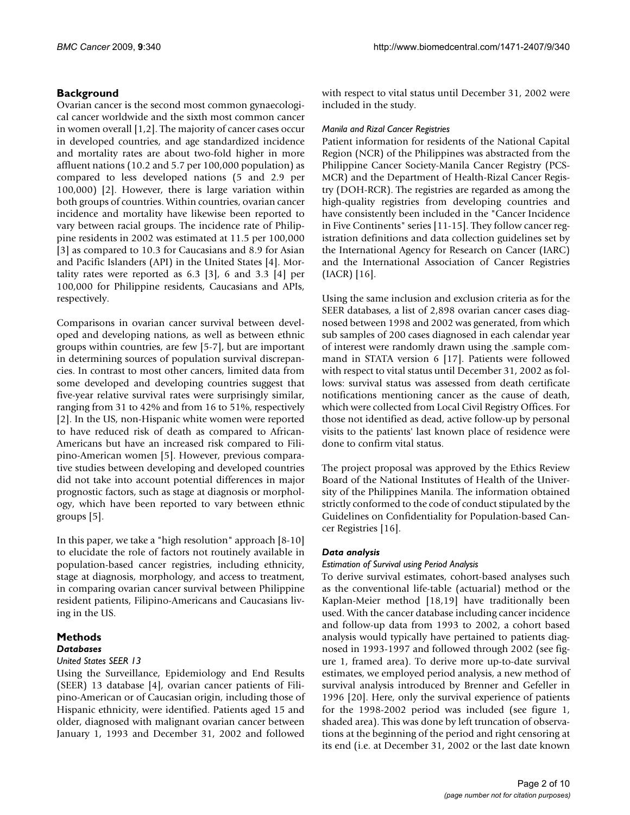## **Background**

Ovarian cancer is the second most common gynaecological cancer worldwide and the sixth most common cancer in women overall [1,2]. The majority of cancer cases occur in developed countries, and age standardized incidence and mortality rates are about two-fold higher in more affluent nations (10.2 and 5.7 per 100,000 population) as compared to less developed nations (5 and 2.9 per 100,000) [2]. However, there is large variation within both groups of countries. Within countries, ovarian cancer incidence and mortality have likewise been reported to vary between racial groups. The incidence rate of Philippine residents in 2002 was estimated at 11.5 per 100,000 [3] as compared to 10.3 for Caucasians and 8.9 for Asian and Pacific Islanders (API) in the United States [4]. Mortality rates were reported as 6.3 [3], 6 and 3.3 [4] per 100,000 for Philippine residents, Caucasians and APIs, respectively.

Comparisons in ovarian cancer survival between developed and developing nations, as well as between ethnic groups within countries, are few [5-7], but are important in determining sources of population survival discrepancies. In contrast to most other cancers, limited data from some developed and developing countries suggest that five-year relative survival rates were surprisingly similar, ranging from 31 to 42% and from 16 to 51%, respectively [2]. In the US, non-Hispanic white women were reported to have reduced risk of death as compared to African-Americans but have an increased risk compared to Filipino-American women [5]. However, previous comparative studies between developing and developed countries did not take into account potential differences in major prognostic factors, such as stage at diagnosis or morphology, which have been reported to vary between ethnic groups [5].

In this paper, we take a "high resolution" approach [8-10] to elucidate the role of factors not routinely available in population-based cancer registries, including ethnicity, stage at diagnosis, morphology, and access to treatment, in comparing ovarian cancer survival between Philippine resident patients, Filipino-Americans and Caucasians living in the US.

#### **Methods** *Databases*

## *United States SEER 13*

Using the Surveillance, Epidemiology and End Results (SEER) 13 database [4], ovarian cancer patients of Filipino-American or of Caucasian origin, including those of Hispanic ethnicity, were identified. Patients aged 15 and older, diagnosed with malignant ovarian cancer between January 1, 1993 and December 31, 2002 and followed with respect to vital status until December 31, 2002 were included in the study.

## *Manila and Rizal Cancer Registries*

Patient information for residents of the National Capital Region (NCR) of the Philippines was abstracted from the Philippine Cancer Society-Manila Cancer Registry (PCS-MCR) and the Department of Health-Rizal Cancer Registry (DOH-RCR). The registries are regarded as among the high-quality registries from developing countries and have consistently been included in the "Cancer Incidence in Five Continents" series [11-15]. They follow cancer registration definitions and data collection guidelines set by the International Agency for Research on Cancer (IARC) and the International Association of Cancer Registries (IACR) [16].

Using the same inclusion and exclusion criteria as for the SEER databases, a list of 2,898 ovarian cancer cases diagnosed between 1998 and 2002 was generated, from which sub samples of 200 cases diagnosed in each calendar year of interest were randomly drawn using the .sample command in STATA version 6 [17]. Patients were followed with respect to vital status until December 31, 2002 as follows: survival status was assessed from death certificate notifications mentioning cancer as the cause of death, which were collected from Local Civil Registry Offices. For those not identified as dead, active follow-up by personal visits to the patients' last known place of residence were done to confirm vital status.

The project proposal was approved by the Ethics Review Board of the National Institutes of Health of the University of the Philippines Manila. The information obtained strictly conformed to the code of conduct stipulated by the Guidelines on Confidentiality for Population-based Cancer Registries [16].

## *Data analysis*

## *Estimation of Survival using Period Analysis*

To derive survival estimates, cohort-based analyses such as the conventional life-table (actuarial) method or the Kaplan-Meier method [18,19] have traditionally been used. With the cancer database including cancer incidence and follow-up data from 1993 to 2002, a cohort based analysis would typically have pertained to patients diagnosed in 1993-1997 and followed through 2002 (see figure 1, framed area). To derive more up-to-date survival estimates, we employed period analysis, a new method of survival analysis introduced by Brenner and Gefeller in 1996 [20]. Here, only the survival experience of patients for the 1998-2002 period was included (see figure 1, shaded area). This was done by left truncation of observations at the beginning of the period and right censoring at its end (i.e. at December 31, 2002 or the last date known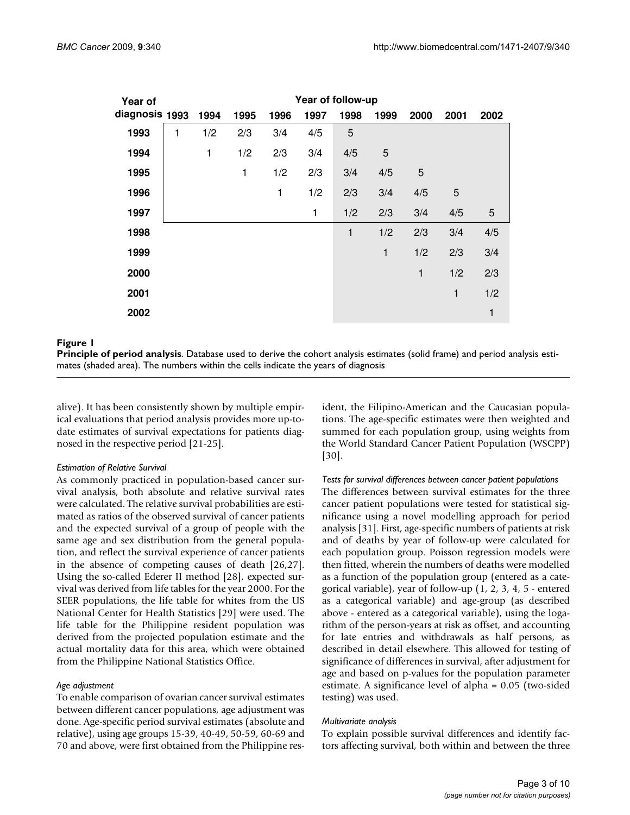| Year of        | Year of follow-up |      |      |      |      |      |      |      |      |      |
|----------------|-------------------|------|------|------|------|------|------|------|------|------|
| diagnosis 1993 |                   | 1994 | 1995 | 1996 | 1997 | 1998 | 1999 | 2000 | 2001 | 2002 |
| 1993           | 1                 | 1/2  | 2/3  | 3/4  | 4/5  | 5    |      |      |      |      |
| 1994           |                   | 1    | 1/2  | 2/3  | 3/4  | 4/5  | 5    |      |      |      |
| 1995           |                   |      | 1    | 1/2  | 2/3  | 3/4  | 4/5  | 5    |      |      |
| 1996           |                   |      |      | 1    | 1/2  | 2/3  | 3/4  | 4/5  | 5    |      |
| 1997           |                   |      |      |      | 1    | 1/2  | 2/3  | 3/4  | 4/5  | 5    |
| 1998           |                   |      |      |      |      | 1    | 1/2  | 2/3  | 3/4  | 4/5  |
| 1999           |                   |      |      |      |      |      | 1    | 1/2  | 2/3  | 3/4  |
| 2000           |                   |      |      |      |      |      |      | 1    | 1/2  | 2/3  |
| 2001           |                   |      |      |      |      |      |      |      | 1    | 1/2  |
| 2002           |                   |      |      |      |      |      |      |      |      | 1    |

## **Figure 1**

**Principle of period analysis**. Database used to derive the cohort analysis estimates (solid frame) and period analysis estimates (shaded area). The numbers within the cells indicate the years of diagnosis

alive). It has been consistently shown by multiple empirical evaluations that period analysis provides more up-todate estimates of survival expectations for patients diagnosed in the respective period [21-25].

## *Estimation of Relative Survival*

As commonly practiced in population-based cancer survival analysis, both absolute and relative survival rates were calculated. The relative survival probabilities are estimated as ratios of the observed survival of cancer patients and the expected survival of a group of people with the same age and sex distribution from the general population, and reflect the survival experience of cancer patients in the absence of competing causes of death [26,27]. Using the so-called Ederer II method [28], expected survival was derived from life tables for the year 2000. For the SEER populations, the life table for whites from the US National Center for Health Statistics [29] were used. The life table for the Philippine resident population was derived from the projected population estimate and the actual mortality data for this area, which were obtained from the Philippine National Statistics Office.

## *Age adjustment*

To enable comparison of ovarian cancer survival estimates between different cancer populations, age adjustment was done. Age-specific period survival estimates (absolute and relative), using age groups 15-39, 40-49, 50-59, 60-69 and 70 and above, were first obtained from the Philippine resident, the Filipino-American and the Caucasian populations. The age-specific estimates were then weighted and summed for each population group, using weights from the World Standard Cancer Patient Population (WSCPP) [30].

## *Tests for survival differences between cancer patient populations*

The differences between survival estimates for the three cancer patient populations were tested for statistical significance using a novel modelling approach for period analysis [31]. First, age-specific numbers of patients at risk and of deaths by year of follow-up were calculated for each population group. Poisson regression models were then fitted, wherein the numbers of deaths were modelled as a function of the population group (entered as a categorical variable), year of follow-up (1, 2, 3, 4, 5 - entered as a categorical variable) and age-group (as described above - entered as a categorical variable), using the logarithm of the person-years at risk as offset, and accounting for late entries and withdrawals as half persons, as described in detail elsewhere. This allowed for testing of significance of differences in survival, after adjustment for age and based on p-values for the population parameter estimate. A significance level of alpha = 0.05 (two-sided testing) was used.

## *Multivariate analysis*

To explain possible survival differences and identify factors affecting survival, both within and between the three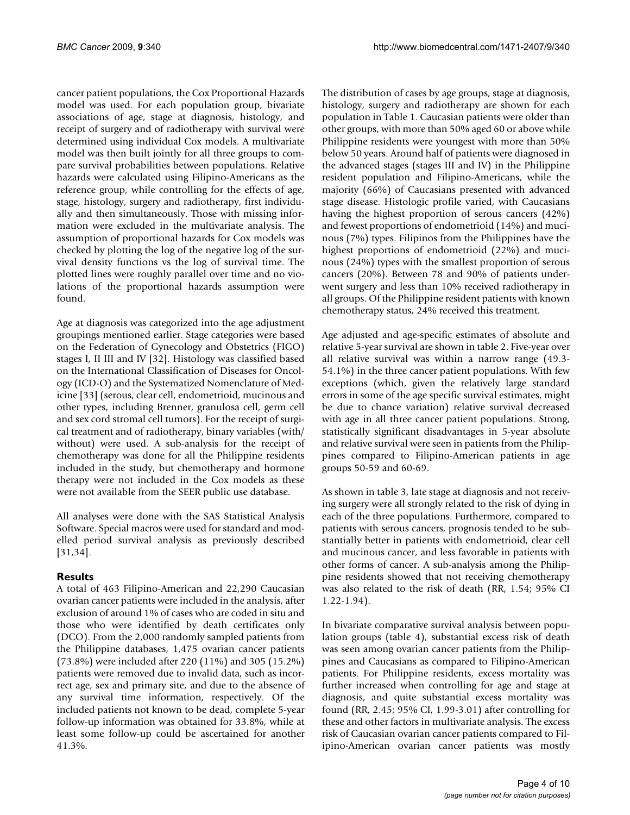cancer patient populations, the Cox Proportional Hazards model was used. For each population group, bivariate associations of age, stage at diagnosis, histology, and receipt of surgery and of radiotherapy with survival were determined using individual Cox models. A multivariate model was then built jointly for all three groups to compare survival probabilities between populations. Relative hazards were calculated using Filipino-Americans as the reference group, while controlling for the effects of age, stage, histology, surgery and radiotherapy, first individually and then simultaneously. Those with missing information were excluded in the multivariate analysis. The assumption of proportional hazards for Cox models was checked by plotting the log of the negative log of the survival density functions vs the log of survival time. The plotted lines were roughly parallel over time and no violations of the proportional hazards assumption were found.

Age at diagnosis was categorized into the age adjustment groupings mentioned earlier. Stage categories were based on the Federation of Gynecology and Obstetrics (FIGO) stages I, II III and IV [32]. Histology was classified based on the International Classification of Diseases for Oncology (ICD-O) and the Systematized Nomenclature of Medicine [33] (serous, clear cell, endometrioid, mucinous and other types, including Brenner, granulosa cell, germ cell and sex cord stromal cell tumors). For the receipt of surgical treatment and of radiotherapy, binary variables (with/ without) were used. A sub-analysis for the receipt of chemotherapy was done for all the Philippine residents included in the study, but chemotherapy and hormone therapy were not included in the Cox models as these were not available from the SEER public use database.

All analyses were done with the SAS Statistical Analysis Software. Special macros were used for standard and modelled period survival analysis as previously described [31,34].

## **Results**

A total of 463 Filipino-American and 22,290 Caucasian ovarian cancer patients were included in the analysis, after exclusion of around 1% of cases who are coded in situ and those who were identified by death certificates only (DCO). From the 2,000 randomly sampled patients from the Philippine databases, 1,475 ovarian cancer patients (73.8%) were included after 220 (11%) and 305 (15.2%) patients were removed due to invalid data, such as incorrect age, sex and primary site, and due to the absence of any survival time information, respectively. Of the included patients not known to be dead, complete 5-year follow-up information was obtained for 33.8%, while at least some follow-up could be ascertained for another 41.3%.

The distribution of cases by age groups, stage at diagnosis, histology, surgery and radiotherapy are shown for each population in Table 1. Caucasian patients were older than other groups, with more than 50% aged 60 or above while Philippine residents were youngest with more than 50% below 50 years. Around half of patients were diagnosed in the advanced stages (stages III and IV) in the Philippine resident population and Filipino-Americans, while the majority (66%) of Caucasians presented with advanced stage disease. Histologic profile varied, with Caucasians having the highest proportion of serous cancers (42%) and fewest proportions of endometrioid (14%) and mucinous (7%) types. Filipinos from the Philippines have the highest proportions of endometrioid (22%) and mucinous (24%) types with the smallest proportion of serous cancers (20%). Between 78 and 90% of patients underwent surgery and less than 10% received radiotherapy in all groups. Of the Philippine resident patients with known chemotherapy status, 24% received this treatment.

Age adjusted and age-specific estimates of absolute and relative 5-year survival are shown in table 2. Five-year over all relative survival was within a narrow range (49.3- 54.1%) in the three cancer patient populations. With few exceptions (which, given the relatively large standard errors in some of the age specific survival estimates, might be due to chance variation) relative survival decreased with age in all three cancer patient populations. Strong, statistically significant disadvantages in 5-year absolute and relative survival were seen in patients from the Philippines compared to Filipino-American patients in age groups 50-59 and 60-69.

As shown in table 3, late stage at diagnosis and not receiving surgery were all strongly related to the risk of dying in each of the three populations. Furthermore, compared to patients with serous cancers, prognosis tended to be substantially better in patients with endometrioid, clear cell and mucinous cancer, and less favorable in patients with other forms of cancer. A sub-analysis among the Philippine residents showed that not receiving chemotherapy was also related to the risk of death (RR, 1.54; 95% CI 1.22-1.94).

In bivariate comparative survival analysis between population groups (table 4), substantial excess risk of death was seen among ovarian cancer patients from the Philippines and Caucasians as compared to Filipino-American patients. For Philippine residents, excess mortality was further increased when controlling for age and stage at diagnosis, and quite substantial excess mortality was found (RR, 2.45; 95% CI, 1.99-3.01) after controlling for these and other factors in multivariate analysis. The excess risk of Caucasian ovarian cancer patients compared to Filipino-American ovarian cancer patients was mostly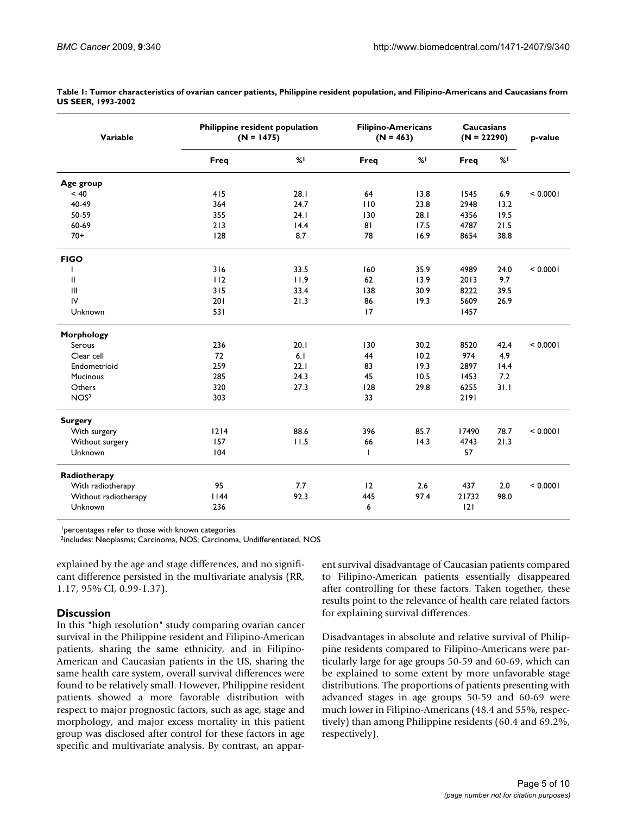| Variable             | Philippine resident population<br>$(N = 1475)$ | <b>Filipino-Americans</b><br>$(N = 463)$ |      | Caucasians<br>$(N = 22290)$ |       | p-value |          |
|----------------------|------------------------------------------------|------------------------------------------|------|-----------------------------|-------|---------|----------|
|                      | Freq                                           | %1                                       | Freq | %1                          | Freq  | %।      |          |
| Age group            |                                                |                                          |      |                             |       |         |          |
| < 40                 | 415                                            | 28.1                                     | 64   | 13.8                        | 1545  | 6.9     | < 0.0001 |
| 40-49                | 364                                            | 24.7                                     | 110  | 23.8                        | 2948  | 13.2    |          |
| 50-59                | 355                                            | 24.1                                     | 130  | 28.1                        | 4356  | 19.5    |          |
| 60-69                | 213                                            | 14.4                                     | 81   | 17.5                        | 4787  | 21.5    |          |
| $70+$                | 128                                            | 8.7                                      | 78   | 16.9                        | 8654  | 38.8    |          |
| <b>FIGO</b>          |                                                |                                          |      |                             |       |         |          |
| ı                    | 316                                            | 33.5                                     | 160  | 35.9                        | 4989  | 24.0    | < 0.0001 |
| $\mathbf{I}$         | 112                                            | 11.9                                     | 62   | 13.9                        | 2013  | 9.7     |          |
| $\mathbf{III}$       | 315                                            | 33.4                                     | 138  | 30.9                        | 8222  | 39.5    |          |
| IV                   | 201                                            | 21.3                                     | 86   | 19.3                        | 5609  | 26.9    |          |
| Unknown              | 531                                            |                                          | 17   |                             | 1457  |         |          |
| Morphology           |                                                |                                          |      |                             |       |         |          |
| Serous               | 236                                            | 20.1                                     | 130  | 30.2                        | 8520  | 42.4    | < 0.0001 |
| Clear cell           | 72                                             | 6.1                                      | 44   | 10.2                        | 974   | 4.9     |          |
| Endometrioid         | 259                                            | 22.1                                     | 83   | 19.3                        | 2897  | 14.4    |          |
| Mucinous             | 285                                            | 24.3                                     | 45   | 10.5                        | 1453  | 7.2     |          |
| Others               | 320                                            | 27.3                                     | 128  | 29.8                        | 6255  | 31.1    |          |
| NOS <sup>2</sup>     | 303                                            |                                          | 33   |                             | 2191  |         |          |
| <b>Surgery</b>       |                                                |                                          |      |                             |       |         |          |
| With surgery         | $1214$                                         | 88.6                                     | 396  | 85.7                        | 17490 | 78.7    | < 0.0001 |
| Without surgery      | 157                                            | 11.5                                     | 66   | 14.3                        | 4743  | 21.3    |          |
| Unknown              | 104                                            |                                          | T    |                             | 57    |         |          |
| Radiotherapy         |                                                |                                          |      |                             |       |         |          |
| With radiotherapy    | 95                                             | 7.7                                      | 12   | 2.6                         | 437   | 2.0     | < 0.0001 |
| Without radiotherapy | 1144                                           | 92.3                                     | 445  | 97.4                        | 21732 | 98.0    |          |
| Unknown              | 236                                            |                                          | 6    |                             | 2     |         |          |

**Table 1: Tumor characteristics of ovarian cancer patients, Philippine resident population, and Filipino-Americans and Caucasians from US SEER, 1993-2002**

1percentages refer to those with known categories

2includes: Neoplasms; Carcinoma, NOS; Carcinoma, Undifferentiated, NOS

explained by the age and stage differences, and no significant difference persisted in the multivariate analysis (RR, 1.17, 95% CI, 0.99-1.37).

## **Discussion**

In this "high resolution" study comparing ovarian cancer survival in the Philippine resident and Filipino-American patients, sharing the same ethnicity, and in Filipino-American and Caucasian patients in the US, sharing the same health care system, overall survival differences were found to be relatively small. However, Philippine resident patients showed a more favorable distribution with respect to major prognostic factors, such as age, stage and morphology, and major excess mortality in this patient group was disclosed after control for these factors in age specific and multivariate analysis. By contrast, an apparent survival disadvantage of Caucasian patients compared to Filipino-American patients essentially disappeared after controlling for these factors. Taken together, these results point to the relevance of health care related factors for explaining survival differences.

Disadvantages in absolute and relative survival of Philippine residents compared to Filipino-Americans were particularly large for age groups 50-59 and 60-69, which can be explained to some extent by more unfavorable stage distributions. The proportions of patients presenting with advanced stages in age groups 50-59 and 60-69 were much lower in Filipino-Americans (48.4 and 55%, respectively) than among Philippine residents (60.4 and 69.2%, respectively).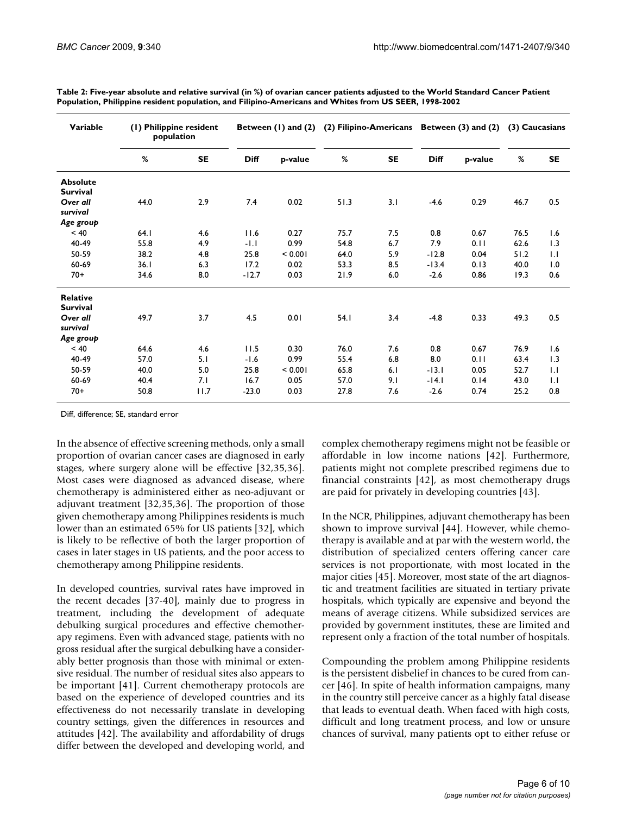| Variable                           | (1) Philippine resident<br>population |           | Between (1) and (2) |         | (2) Filipino-Americans Between (3) and (2) |           |             |         | (3) Caucasians |           |
|------------------------------------|---------------------------------------|-----------|---------------------|---------|--------------------------------------------|-----------|-------------|---------|----------------|-----------|
|                                    | %                                     | <b>SE</b> | <b>Diff</b>         | p-value | %                                          | <b>SE</b> | <b>Diff</b> | p-value | %              | <b>SE</b> |
| <b>Absolute</b><br><b>Survival</b> |                                       |           |                     |         |                                            |           |             |         |                |           |
| Over all<br>survival               | 44.0                                  | 2.9       | 7.4                 | 0.02    | 51.3                                       | 3.1       | $-4.6$      | 0.29    | 46.7           | 0.5       |
| Age group                          |                                       |           |                     |         |                                            |           |             |         |                |           |
| < 40                               | 64.1                                  | 4.6       | 11.6                | 0.27    | 75.7                                       | 7.5       | 0.8         | 0.67    | 76.5           | 1.6       |
| 40-49                              | 55.8                                  | 4.9       | -1.1                | 0.99    | 54.8                                       | 6.7       | 7.9         | 0.11    | 62.6           | 1.3       |
| 50-59                              | 38.2                                  | 4.8       | 25.8                | < 0.001 | 64.0                                       | 5.9       | $-12.8$     | 0.04    | 51.2           | 1.1       |
| 60-69                              | 36.1                                  | 6.3       | 17.2                | 0.02    | 53.3                                       | 8.5       | $-13.4$     | 0.13    | 40.0           | 1.0       |
| $70+$                              | 34.6                                  | 8.0       | $-12.7$             | 0.03    | 21.9                                       | 6.0       | $-2.6$      | 0.86    | 19.3           | 0.6       |
| <b>Relative</b><br><b>Survival</b> |                                       |           |                     |         |                                            |           |             |         |                |           |
| Over all<br>survival               | 49.7                                  | 3.7       | 4.5                 | 0.01    | 54.1                                       | 3.4       | $-4.8$      | 0.33    | 49.3           | 0.5       |
| Age group                          |                                       |           |                     |         |                                            |           |             |         |                |           |
| < 40                               | 64.6                                  | 4.6       | 11.5                | 0.30    | 76.0                                       | 7.6       | 0.8         | 0.67    | 76.9           | 1.6       |
| 40-49                              | 57.0                                  | 5.1       | $-1.6$              | 0.99    | 55.4                                       | 6.8       | 8.0         | 0.11    | 63.4           | 1.3       |
| 50-59                              | 40.0                                  | 5.0       | 25.8                | < 0.001 | 65.8                                       | 6.1       | $-13.1$     | 0.05    | 52.7           | 1.1       |
| 60-69                              | 40.4                                  | 7.1       | 16.7                | 0.05    | 57.0                                       | 9.1       | $-14.1$     | 0.14    | 43.0           | 1.1       |
| $70+$                              | 50.8                                  | 11.7      | $-23.0$             | 0.03    | 27.8                                       | 7.6       | $-2.6$      | 0.74    | 25.2           | 0.8       |

**Table 2: Five-year absolute and relative survival (in %) of ovarian cancer patients adjusted to the World Standard Cancer Patient Population, Philippine resident population, and Filipino-Americans and Whites from US SEER, 1998-2002**

Diff, difference; SE, standard error

In the absence of effective screening methods, only a small proportion of ovarian cancer cases are diagnosed in early stages, where surgery alone will be effective [32,35,36]. Most cases were diagnosed as advanced disease, where chemotherapy is administered either as neo-adjuvant or adjuvant treatment [32,35,36]. The proportion of those given chemotherapy among Philippines residents is much lower than an estimated 65% for US patients [32], which is likely to be reflective of both the larger proportion of cases in later stages in US patients, and the poor access to chemotherapy among Philippine residents.

In developed countries, survival rates have improved in the recent decades [37-40], mainly due to progress in treatment, including the development of adequate debulking surgical procedures and effective chemotherapy regimens. Even with advanced stage, patients with no gross residual after the surgical debulking have a considerably better prognosis than those with minimal or extensive residual. The number of residual sites also appears to be important [41]. Current chemotherapy protocols are based on the experience of developed countries and its effectiveness do not necessarily translate in developing country settings, given the differences in resources and attitudes [42]. The availability and affordability of drugs differ between the developed and developing world, and

complex chemotherapy regimens might not be feasible or affordable in low income nations [42]. Furthermore, patients might not complete prescribed regimens due to financial constraints [42], as most chemotherapy drugs are paid for privately in developing countries [43].

In the NCR, Philippines, adjuvant chemotherapy has been shown to improve survival [44]. However, while chemotherapy is available and at par with the western world, the distribution of specialized centers offering cancer care services is not proportionate, with most located in the major cities [45]. Moreover, most state of the art diagnostic and treatment facilities are situated in tertiary private hospitals, which typically are expensive and beyond the means of average citizens. While subsidized services are provided by government institutes, these are limited and represent only a fraction of the total number of hospitals.

Compounding the problem among Philippine residents is the persistent disbelief in chances to be cured from cancer [46]. In spite of health information campaigns, many in the country still perceive cancer as a highly fatal disease that leads to eventual death. When faced with high costs, difficult and long treatment process, and low or unsure chances of survival, many patients opt to either refuse or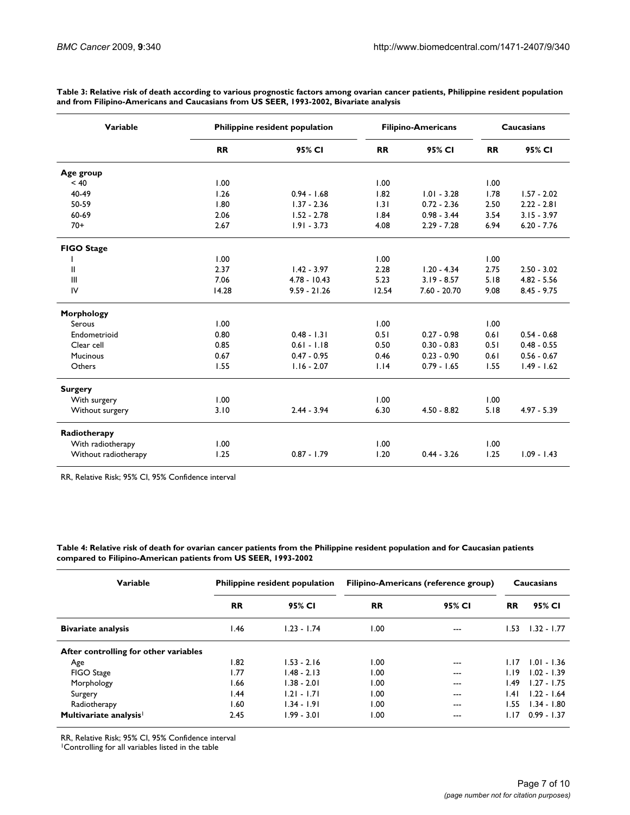| Variable             | Philippine resident population |                | <b>Filipino-Americans</b> | Caucasians    |           |               |
|----------------------|--------------------------------|----------------|---------------------------|---------------|-----------|---------------|
|                      | <b>RR</b>                      | 95% CI         | <b>RR</b>                 | 95% CI        | <b>RR</b> | 95% CI        |
| Age group            |                                |                |                           |               |           |               |
| < 40                 | 1.00                           |                | 1.00                      |               | 1.00      |               |
| 40-49                | 1.26                           | $0.94 - 1.68$  | 1.82                      | $1.01 - 3.28$ | 1.78      | $1.57 - 2.02$ |
| 50-59                | 1.80                           | $1.37 - 2.36$  | 1.31                      | $0.72 - 2.36$ | 2.50      | $2.22 - 2.81$ |
| 60-69                | 2.06                           | $1.52 - 2.78$  | 1.84                      | $0.98 - 3.44$ | 3.54      | $3.15 - 3.97$ |
| $70+$                | 2.67                           | $1.91 - 3.73$  | 4.08                      | $2.29 - 7.28$ | 6.94      | $6.20 - 7.76$ |
| <b>FIGO Stage</b>    |                                |                |                           |               |           |               |
|                      | 1.00                           |                | 1.00                      |               | 1.00      |               |
| $\mathbf{I}$         | 2.37                           | $1.42 - 3.97$  | 2.28                      | $1.20 - 4.34$ | 2.75      | $2.50 - 3.02$ |
| III                  | 7.06                           | $4.78 - 10.43$ | 5.23                      | $3.19 - 8.57$ | 5.18      | $4.82 - 5.56$ |
| IV                   | 14.28                          | $9.59 - 21.26$ | 12.54                     | 7.60 - 20.70  | 9.08      | $8.45 - 9.75$ |
| Morphology           |                                |                |                           |               |           |               |
| Serous               | 1.00                           |                | 1.00                      |               | 1.00      |               |
| Endometrioid         | 0.80                           | $0.48 - 1.31$  | 0.51                      | $0.27 - 0.98$ | 0.61      | $0.54 - 0.68$ |
| Clear cell           | 0.85                           | $0.61 - 1.18$  | 0.50                      | $0.30 - 0.83$ | 0.51      | $0.48 - 0.55$ |
| Mucinous             | 0.67                           | $0.47 - 0.95$  | 0.46                      | $0.23 - 0.90$ | 0.61      | $0.56 - 0.67$ |
| Others               | 1.55                           | $1.16 - 2.07$  | 1.14                      | $0.79 - 1.65$ | 1.55      | $1.49 - 1.62$ |
| <b>Surgery</b>       |                                |                |                           |               |           |               |
| With surgery         | 1.00                           |                | 1.00                      |               | 1.00      |               |
| Without surgery      | 3.10                           | $2.44 - 3.94$  | 6.30                      | $4.50 - 8.82$ | 5.18      | $4.97 - 5.39$ |
| Radiotherapy         |                                |                |                           |               |           |               |
| With radiotherapy    | 1.00                           |                | 1.00                      |               | 1.00      |               |
| Without radiotherapy | 1.25                           | $0.87 - 1.79$  | 1.20                      | $0.44 - 3.26$ | 1.25      | $1.09 - 1.43$ |

**Table 3: Relative risk of death according to various prognostic factors among ovarian cancer patients, Philippine resident population and from Filipino-Americans and Caucasians from US SEER, 1993-2002, Bivariate analysis**

RR, Relative Risk; 95% CI, 95% Confidence interval

**Table 4: Relative risk of death for ovarian cancer patients from the Philippine resident population and for Caucasian patients compared to Filipino-American patients from US SEER, 1993-2002**

| Variable                              | <b>Philippine resident population</b> |               | Filipino-Americans (reference group) |        |           | Caucasians    |  |
|---------------------------------------|---------------------------------------|---------------|--------------------------------------|--------|-----------|---------------|--|
|                                       | <b>RR</b>                             | 95% CI        | <b>RR</b>                            | 95% CI | <b>RR</b> | 95% CI        |  |
| <b>Bivariate analysis</b>             | l.46                                  | $1.23 - 1.74$ | 1.00                                 | ---    | .53       | $1.32 - 1.77$ |  |
| After controlling for other variables |                                       |               |                                      |        |           |               |  |
| Age                                   | l.82                                  | $1.53 - 2.16$ | 1.00                                 | ---    | I.I7      | $1.01 - 1.36$ |  |
| FIGO Stage                            | 1.77                                  | $1.48 - 2.13$ | 1.00                                 | ---    | I.I9      | $1.02 - 1.39$ |  |
| Morphology                            | 66. ا                                 | $1.38 - 2.01$ | 1.00                                 | ---    | .49       | $1.27 - 1.75$ |  |
| Surgery                               | 1.44                                  | $1.21 - 1.71$ | 1.00                                 | ---    | l.4 I     | $1.22 - 1.64$ |  |
| Radiotherapy                          | 1.60                                  | $1.34 - 1.91$ | 1.00                                 | ---    | .55       | $1.34 - 1.80$ |  |
| Multivariate analysis                 | 2.45                                  | $1.99 - 3.01$ | 00.1                                 | ---    | I.I7      | $0.99 - 1.37$ |  |

RR, Relative Risk; 95% CI, 95% Confidence interval

1Controlling for all variables listed in the table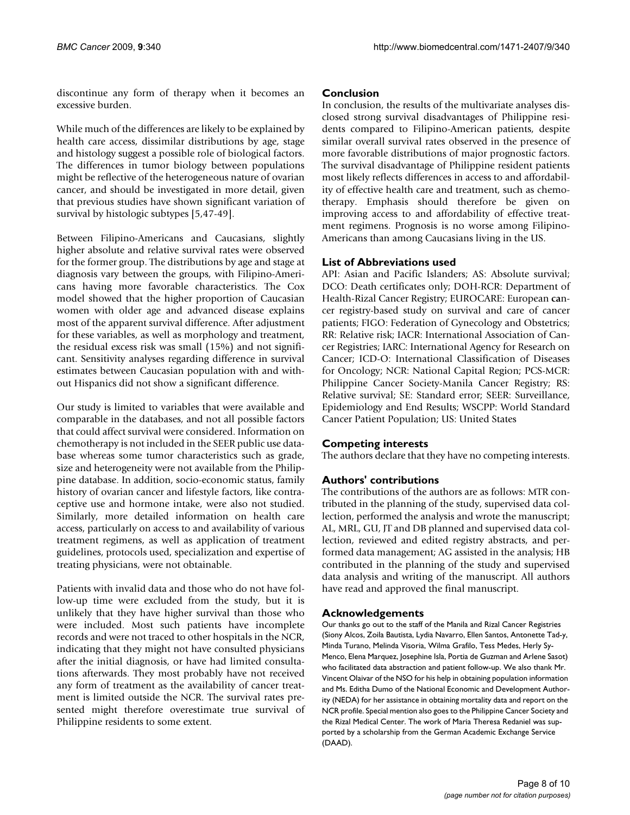discontinue any form of therapy when it becomes an excessive burden.

While much of the differences are likely to be explained by health care access, dissimilar distributions by age, stage and histology suggest a possible role of biological factors. The differences in tumor biology between populations might be reflective of the heterogeneous nature of ovarian cancer, and should be investigated in more detail, given that previous studies have shown significant variation of survival by histologic subtypes [5,47-49].

Between Filipino-Americans and Caucasians, slightly higher absolute and relative survival rates were observed for the former group. The distributions by age and stage at diagnosis vary between the groups, with Filipino-Americans having more favorable characteristics. The Cox model showed that the higher proportion of Caucasian women with older age and advanced disease explains most of the apparent survival difference. After adjustment for these variables, as well as morphology and treatment, the residual excess risk was small (15%) and not significant. Sensitivity analyses regarding difference in survival estimates between Caucasian population with and without Hispanics did not show a significant difference.

Our study is limited to variables that were available and comparable in the databases, and not all possible factors that could affect survival were considered. Information on chemotherapy is not included in the SEER public use database whereas some tumor characteristics such as grade, size and heterogeneity were not available from the Philippine database. In addition, socio-economic status, family history of ovarian cancer and lifestyle factors, like contraceptive use and hormone intake, were also not studied. Similarly, more detailed information on health care access, particularly on access to and availability of various treatment regimens, as well as application of treatment guidelines, protocols used, specialization and expertise of treating physicians, were not obtainable.

Patients with invalid data and those who do not have follow-up time were excluded from the study, but it is unlikely that they have higher survival than those who were included. Most such patients have incomplete records and were not traced to other hospitals in the NCR, indicating that they might not have consulted physicians after the initial diagnosis, or have had limited consultations afterwards. They most probably have not received any form of treatment as the availability of cancer treatment is limited outside the NCR. The survival rates presented might therefore overestimate true survival of Philippine residents to some extent.

## **Conclusion**

In conclusion, the results of the multivariate analyses disclosed strong survival disadvantages of Philippine residents compared to Filipino-American patients, despite similar overall survival rates observed in the presence of more favorable distributions of major prognostic factors. The survival disadvantage of Philippine resident patients most likely reflects differences in access to and affordability of effective health care and treatment, such as chemotherapy. Emphasis should therefore be given on improving access to and affordability of effective treatment regimens. Prognosis is no worse among Filipino-Americans than among Caucasians living in the US.

## **List of Abbreviations used**

API: Asian and Pacific Islanders; AS: Absolute survival; DCO: Death certificates only; DOH-RCR: Department of Health-Rizal Cancer Registry; EUROCARE: European **ca**ncer registry-based study on survival and care of cancer patients; FIGO: Federation of Gynecology and Obstetrics; RR: Relative risk; IACR: International Association of Cancer Registries; IARC: International Agency for Research on Cancer; ICD-O: International Classification of Diseases for Oncology; NCR: National Capital Region; PCS-MCR: Philippine Cancer Society-Manila Cancer Registry; RS: Relative survival; SE: Standard error; SEER: Surveillance, Epidemiology and End Results; WSCPP: World Standard Cancer Patient Population; US: United States

## **Competing interests**

The authors declare that they have no competing interests.

## **Authors' contributions**

The contributions of the authors are as follows: MTR contributed in the planning of the study, supervised data collection, performed the analysis and wrote the manuscript; AL, MRL, GU, JT and DB planned and supervised data collection, reviewed and edited registry abstracts, and performed data management; AG assisted in the analysis; HB contributed in the planning of the study and supervised data analysis and writing of the manuscript. All authors have read and approved the final manuscript.

## **Acknowledgements**

Our thanks go out to the staff of the Manila and Rizal Cancer Registries (Siony Alcos, Zoila Bautista, Lydia Navarro, Ellen Santos, Antonette Tad-y, Minda Turano, Melinda Visoria, Wilma Grafilo, Tess Medes, Herly Sy-Menco, Elena Marquez, Josephine Isla, Portia de Guzman and Arlene Sasot) who facilitated data abstraction and patient follow-up. We also thank Mr. Vincent Olaivar of the NSO for his help in obtaining population information and Ms. Editha Dumo of the National Economic and Development Authority (NEDA) for her assistance in obtaining mortality data and report on the NCR profile. Special mention also goes to the Philippine Cancer Society and the Rizal Medical Center. The work of Maria Theresa Redaniel was supported by a scholarship from the German Academic Exchange Service (DAAD).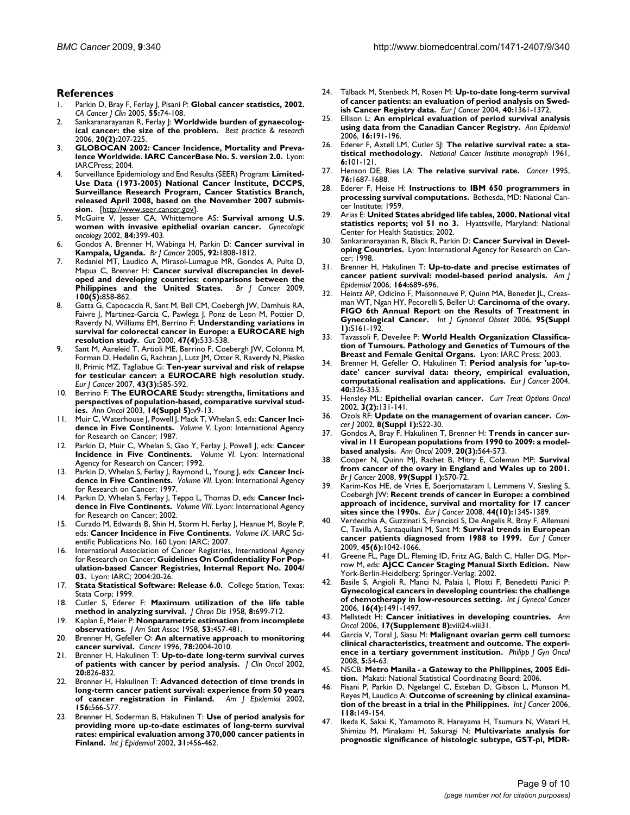## **References**

- 1. Parkin D, Bray F, Ferlay J, Pisani P: **[Global cancer statistics, 2002.](http://www.ncbi.nlm.nih.gov/entrez/query.fcgi?cmd=Retrieve&db=PubMed&dopt=Abstract&list_uids=15761078)** *CA Cancer J Clin* 2005, **55:**74-108.
- 2. Sankaranarayanan R, Ferlay J: **Worldwide burden of gynaecological cancer: the size of the problem.** *Best practice & research* 2006, **20(2):**207-225.
- 3. **GLOBOCAN 2002: Cancer Incidence, Mortality and Prevalence Worldwide. IARC CancerBase No. 5. version 2.0.** Lyon: IARCPress; 2004.
- 4. Surveillance Epidemiology and End Results (SEER) Program: **Limited-Use Data (1973-2005) National Cancer Institute, DCCPS, Surveillance Research Program, Cancer Statistics Branch, released April 2008, based on the November 2007 submis**sion. [<http://www.seer.cancer.gov>].
- 5. McGuire V, Jesser CA, Whittemore AS: **[Survival among U.S.](http://www.ncbi.nlm.nih.gov/entrez/query.fcgi?cmd=Retrieve&db=PubMed&dopt=Abstract&list_uids=11855877) [women with invasive epithelial ovarian cancer.](http://www.ncbi.nlm.nih.gov/entrez/query.fcgi?cmd=Retrieve&db=PubMed&dopt=Abstract&list_uids=11855877)** *Gynecologic oncology* 2002, **84:**399-403.
- 6. Gondos A, Brenner H, Wabinga H, Parkin D: **[Cancer survival in](http://www.ncbi.nlm.nih.gov/entrez/query.fcgi?cmd=Retrieve&db=PubMed&dopt=Abstract&list_uids=15827554) [Kampala, Uganda.](http://www.ncbi.nlm.nih.gov/entrez/query.fcgi?cmd=Retrieve&db=PubMed&dopt=Abstract&list_uids=15827554)** *Br J Cancer* 2005, **92:**1808-1812.
- 7. Redaniel MT, Laudico A, Mirasol-Lumague MR, Gondos A, Pulte D, Mapua C, Brenner H: **[Cancer survival discrepancies in devel](http://www.ncbi.nlm.nih.gov/entrez/query.fcgi?cmd=Retrieve&db=PubMed&dopt=Abstract&list_uids=19240723)[oped and developing countries: comparisons between the](http://www.ncbi.nlm.nih.gov/entrez/query.fcgi?cmd=Retrieve&db=PubMed&dopt=Abstract&list_uids=19240723) [Philippines and the United States.](http://www.ncbi.nlm.nih.gov/entrez/query.fcgi?cmd=Retrieve&db=PubMed&dopt=Abstract&list_uids=19240723)** *Br J Cancer* 2009, **100(5):**858-862.
- 8. Gatta G, Capocaccia R, Sant M, Bell CM, Coebergh JW, Damhuis RA, Faivre J, Martinez-Garcia C, Pawlega J, Ponz de Leon M, Pottier D, Raverdy N, Williams EM, Berrino F: **[Understanding variations in](http://www.ncbi.nlm.nih.gov/entrez/query.fcgi?cmd=Retrieve&db=PubMed&dopt=Abstract&list_uids=10986214) [survival for colorectal cancer in Europe: a EUROCARE high](http://www.ncbi.nlm.nih.gov/entrez/query.fcgi?cmd=Retrieve&db=PubMed&dopt=Abstract&list_uids=10986214) [resolution study.](http://www.ncbi.nlm.nih.gov/entrez/query.fcgi?cmd=Retrieve&db=PubMed&dopt=Abstract&list_uids=10986214)** *Gut* 2000, **47(4):**533-538.
- Sant M, Aareleid T, Artioli ME, Berrino F, Coebergh JW, Colonna M, Forman D, Hedelin G, Rachtan J, Lutz JM, Otter R, Raverdy N, Plesko II, Primic MZ, Tagliabue G: **[Ten-year survival and risk of relapse](http://www.ncbi.nlm.nih.gov/entrez/query.fcgi?cmd=Retrieve&db=PubMed&dopt=Abstract&list_uids=17222545) [for testicular cancer: a EUROCARE high resolution study.](http://www.ncbi.nlm.nih.gov/entrez/query.fcgi?cmd=Retrieve&db=PubMed&dopt=Abstract&list_uids=17222545)** *Eur J Cancer* 2007, **43(3):**585-592.
- 10. Berrino F: The **EUROCARE Study: strengths, limitations and [perspectives of population-based, comparative survival stud](http://www.ncbi.nlm.nih.gov/entrez/query.fcgi?cmd=Retrieve&db=PubMed&dopt=Abstract&list_uids=14684497)[ies.](http://www.ncbi.nlm.nih.gov/entrez/query.fcgi?cmd=Retrieve&db=PubMed&dopt=Abstract&list_uids=14684497)** *Ann Oncol* 2003, **14(Suppl 5):**v9-13.
- 11. Muir C, Waterhouse J, Powell J, Mack T, Whelan S, eds: **Cancer Incidence in Five Continents.** *Volume V*. Lyon: International Agency for Research on Cancer; 1987.
- 12. Parkin D, Muir C, Whelan S, Gao Y, Ferlay J, Powell J, eds: **Cancer Incidence in Five Continents.** *Volume VI*. Lyon: International Agency for Research on Cancer; 1992.
- 13. Parkin D, Whelan S, Ferlay J, Raymond L, Young J, eds: **Cancer Incidence in Five Continents.** *Volume VII*. Lyon: International Agency for Research on Cancer; 1997.
- 14. Parkin D, Whelan S, Ferlay J, Teppo L, Thomas D, eds: **Cancer Incidence in Five Continents.** *Volume VIII*. Lyon: International Agency for Research on Cancer; 2002.
- 15. Curado M, Edwards B, Shin H, Storm H, Ferlay J, Heanue M, Boyle P, eds: **Cancer Incidence in Five Continents.** *Volume IX*. IARC Scientific Publications No. 160 Lyon: IARC; 2007.
- 16. International Association of Cancer Registries, International Agency for Research on Cancer: **Guidelines On Confidentiality For Population-based Cancer Registries, Internal Report No. 2004/ 03.** Lyon: IARC; 2004:20-26.
- 17. **Stata Statistical Software: Release 6.0.** College Station, Texas: Stata Corp; 1999.
- 18. Cutler S, Ederer F: **[Maximum utilization of the life table](http://www.ncbi.nlm.nih.gov/entrez/query.fcgi?cmd=Retrieve&db=PubMed&dopt=Abstract&list_uids=13598782) [method in analyzing survival.](http://www.ncbi.nlm.nih.gov/entrez/query.fcgi?cmd=Retrieve&db=PubMed&dopt=Abstract&list_uids=13598782)** *J Chron Dis* 1958, **8:**699-712.
- 19. Kaplan E, Meier P: **Nonparametric estimation from incomplete observations.** *J Am Stat Assoc* 1958, **53:**457-481.
- 20. Brenner H, Gefeller O: **[An alternative approach to monitoring](http://www.ncbi.nlm.nih.gov/entrez/query.fcgi?cmd=Retrieve&db=PubMed&dopt=Abstract&list_uids=8909323) [cancer survival.](http://www.ncbi.nlm.nih.gov/entrez/query.fcgi?cmd=Retrieve&db=PubMed&dopt=Abstract&list_uids=8909323)** *Cancer* 1996, **78:**2004-2010.
- 21. Brenner H, Hakulinen T: **[Up-to-date long-term survival curves](http://www.ncbi.nlm.nih.gov/entrez/query.fcgi?cmd=Retrieve&db=PubMed&dopt=Abstract&list_uids=11821467) [of patients with cancer by period analysis.](http://www.ncbi.nlm.nih.gov/entrez/query.fcgi?cmd=Retrieve&db=PubMed&dopt=Abstract&list_uids=11821467)** *J Clin Oncol* 2002, **20:**826-832.
- 22. Brenner H, Hakulinen T: **[Advanced detection of time trends in](http://www.ncbi.nlm.nih.gov/entrez/query.fcgi?cmd=Retrieve&db=PubMed&dopt=Abstract&list_uids=12226004) [long-term cancer patient survival: experience from 50 years](http://www.ncbi.nlm.nih.gov/entrez/query.fcgi?cmd=Retrieve&db=PubMed&dopt=Abstract&list_uids=12226004) [of cancer registration in Finland.](http://www.ncbi.nlm.nih.gov/entrez/query.fcgi?cmd=Retrieve&db=PubMed&dopt=Abstract&list_uids=12226004)** *Am J Epidemiol* 2002, **156:**566-577.
- Brenner H, Soderman B, Hakulinen T: [Use of period analysis for](http://www.ncbi.nlm.nih.gov/entrez/query.fcgi?cmd=Retrieve&db=PubMed&dopt=Abstract&list_uids=11980816) **[providing more up-to-date estimates of long-term survival](http://www.ncbi.nlm.nih.gov/entrez/query.fcgi?cmd=Retrieve&db=PubMed&dopt=Abstract&list_uids=11980816) rates: empirical evaluation among 370,000 cancer patients in [Finland.](http://www.ncbi.nlm.nih.gov/entrez/query.fcgi?cmd=Retrieve&db=PubMed&dopt=Abstract&list_uids=11980816)** *Int J Epidemiol* 2002, **31:**456-462.
- 24. Tälback M, Stenbeck M, Rosen M: **[Up-to-date long-term survival](http://www.ncbi.nlm.nih.gov/entrez/query.fcgi?cmd=Retrieve&db=PubMed&dopt=Abstract&list_uids=15177496) [of cancer patients: an evaluation of period analysis on Swed](http://www.ncbi.nlm.nih.gov/entrez/query.fcgi?cmd=Retrieve&db=PubMed&dopt=Abstract&list_uids=15177496)[ish Cancer Registry data.](http://www.ncbi.nlm.nih.gov/entrez/query.fcgi?cmd=Retrieve&db=PubMed&dopt=Abstract&list_uids=15177496)** *Eur J Cancer* 2004, **40:**1361-1372.
- 25. Ellison L: **[An empirical evaluation of period survival analysis](http://www.ncbi.nlm.nih.gov/entrez/query.fcgi?cmd=Retrieve&db=PubMed&dopt=Abstract&list_uids=16099673) [using data from the Canadian Cancer Registry.](http://www.ncbi.nlm.nih.gov/entrez/query.fcgi?cmd=Retrieve&db=PubMed&dopt=Abstract&list_uids=16099673)** *Ann Epidemiol* 2006, **16:**191-196.
- Ederer F, Axtell LM, Cutler SJ: [The relative survival rate: a sta](http://www.ncbi.nlm.nih.gov/entrez/query.fcgi?cmd=Retrieve&db=PubMed&dopt=Abstract&list_uids=13889176)**[tistical methodology.](http://www.ncbi.nlm.nih.gov/entrez/query.fcgi?cmd=Retrieve&db=PubMed&dopt=Abstract&list_uids=13889176)** *National Cancer Institute monograph* 1961, **6:**101-121.
- 27. Henson DE, Ries LA: **[The relative survival rate.](http://www.ncbi.nlm.nih.gov/entrez/query.fcgi?cmd=Retrieve&db=PubMed&dopt=Abstract&list_uids=8625034)** *Cancer* 1995, **76:**1687-1688.
- 28. Ederer F, Heise H: **[Instructions to IBM 650 programmers in](http://www.ncbi.nlm.nih.gov/entrez/query.fcgi?cmd=Retrieve&db=PubMed&dopt=Abstract&list_uids=13813449) [processing survival computations.](http://www.ncbi.nlm.nih.gov/entrez/query.fcgi?cmd=Retrieve&db=PubMed&dopt=Abstract&list_uids=13813449)** Bethesda, MD: National Cancer Institute; 1959.
- 29. Arias E: **United States abridged life tables, 2000. National vital statistics reports; vol 51 no 3.** Hyattsville, Maryland: National Center for Health Statistics; 2002.
- 30. Sankaranarayanan R, Black R, Parkin D: **Cancer Survival in Developing Countries.** Lyon: International Agency for Research on Cancer; 1998.
- 31. Brenner H, Hakulinen T: **[Up-to-date and precise estimates of](http://www.ncbi.nlm.nih.gov/entrez/query.fcgi?cmd=Retrieve&db=PubMed&dopt=Abstract&list_uids=16840519) [cancer patient survival: model-based period analysis.](http://www.ncbi.nlm.nih.gov/entrez/query.fcgi?cmd=Retrieve&db=PubMed&dopt=Abstract&list_uids=16840519)** *Am J Epidemiol* 2006, **164:**689-696.
- 32. Heintz AP, Odicino F, Maisonneuve P, Quinn MA, Benedet JL, Creasman WT, Ngan HY, Pecorelli S, Beller U: **[Carcinoma of the ovary.](http://www.ncbi.nlm.nih.gov/entrez/query.fcgi?cmd=Retrieve&db=PubMed&dopt=Abstract&list_uids=17161157) [FIGO 6th Annual Report on the Results of Treatment in](http://www.ncbi.nlm.nih.gov/entrez/query.fcgi?cmd=Retrieve&db=PubMed&dopt=Abstract&list_uids=17161157) [Gynecological Cancer.](http://www.ncbi.nlm.nih.gov/entrez/query.fcgi?cmd=Retrieve&db=PubMed&dopt=Abstract&list_uids=17161157)** *Int J Gynaecol Obstet* 2006, **95(Suppl 1):**S161-192.
- 33. Tavassoli F, Deveilee P: **World Health Organization Classification of Tumours. Pathology and Genetics of Tumours of the Breast and Female Genital Organs.** Lyon: IARC Press; 2003.
- 34. Brenner H, Gefeller O, Hakulinen T: **[Period analysis for 'up-to](http://www.ncbi.nlm.nih.gov/entrez/query.fcgi?cmd=Retrieve&db=PubMed&dopt=Abstract&list_uids=14746849)[date' cancer survival data: theory, empirical evaluation,](http://www.ncbi.nlm.nih.gov/entrez/query.fcgi?cmd=Retrieve&db=PubMed&dopt=Abstract&list_uids=14746849) [computational realisation and applications.](http://www.ncbi.nlm.nih.gov/entrez/query.fcgi?cmd=Retrieve&db=PubMed&dopt=Abstract&list_uids=14746849)** *Eur J Cancer* 2004, **40:**326-335.
- 35. Hensley ML: **[Epithelial ovarian cancer.](http://www.ncbi.nlm.nih.gov/entrez/query.fcgi?cmd=Retrieve&db=PubMed&dopt=Abstract&list_uids=12057076)** *Curr Treat Options Oncol* 2002, **3(2):**131-141.
- 36. Ozols RF: **[Update on the management of ovarian cancer.](http://www.ncbi.nlm.nih.gov/entrez/query.fcgi?cmd=Retrieve&db=PubMed&dopt=Abstract&list_uids=12075699)** *Cancer J* 2002, **8(Suppl 1):**S22-30.
- 37. Gondos A, Bray F, Hakulinen T, Brenner H: **[Trends in cancer sur](http://www.ncbi.nlm.nih.gov/entrez/query.fcgi?cmd=Retrieve&db=PubMed&dopt=Abstract&list_uids=19066327)[vival in 11 European populations from 1990 to 2009: a model](http://www.ncbi.nlm.nih.gov/entrez/query.fcgi?cmd=Retrieve&db=PubMed&dopt=Abstract&list_uids=19066327)[based analysis.](http://www.ncbi.nlm.nih.gov/entrez/query.fcgi?cmd=Retrieve&db=PubMed&dopt=Abstract&list_uids=19066327)** *Ann Oncol* 2009, **20(3):**564-573.
- 38. Cooper N, Quinn MJ, Rachet B, Mitry E, Coleman MP: **[Survival](http://www.ncbi.nlm.nih.gov/entrez/query.fcgi?cmd=Retrieve&db=PubMed&dopt=Abstract&list_uids=18813266) [from cancer of the ovary in England and Wales up to 2001.](http://www.ncbi.nlm.nih.gov/entrez/query.fcgi?cmd=Retrieve&db=PubMed&dopt=Abstract&list_uids=18813266)** *Br J Cancer* 2008, **99(Suppl 1):**S70-72.
- 39. Karim-Kos HE, de Vries E, Soerjomataram I, Lemmens V, Siesling S, Coebergh JW: **[Recent trends of cancer in Europe: a combined](http://www.ncbi.nlm.nih.gov/entrez/query.fcgi?cmd=Retrieve&db=PubMed&dopt=Abstract&list_uids=18280139) [approach of incidence, survival and mortality for 17 cancer](http://www.ncbi.nlm.nih.gov/entrez/query.fcgi?cmd=Retrieve&db=PubMed&dopt=Abstract&list_uids=18280139) [sites since the 1990s.](http://www.ncbi.nlm.nih.gov/entrez/query.fcgi?cmd=Retrieve&db=PubMed&dopt=Abstract&list_uids=18280139)** *Eur J Cancer* 2008, **44(10):**1345-1389.
- Verdecchia A, Guzzinati S, Francisci S, De Angelis R, Bray F, Allemani C, Tavilla A, Santaquilani M, Sant M: **[Survival trends in European](http://www.ncbi.nlm.nih.gov/entrez/query.fcgi?cmd=Retrieve&db=PubMed&dopt=Abstract&list_uids=19124239) [cancer patients diagnosed from 1988 to 1999.](http://www.ncbi.nlm.nih.gov/entrez/query.fcgi?cmd=Retrieve&db=PubMed&dopt=Abstract&list_uids=19124239)** *Eur J Cancer* 2009, **45(6):**1042-1066.
- 41. Greene FL, Page DL, Fleming ID, Fritz AG, Balch C, Haller DG, Morrow M, eds: **AJCC Cancer Staging Manual Sixth Edition.** New York-Berlin-Heidelberg: Springer-Verlag; 2002.
- Basile S, Angioli R, Manci N, Palaia I, Plotti F, Benedetti Panici P: **[Gynecological cancers in developing countries: the challenge](http://www.ncbi.nlm.nih.gov/entrez/query.fcgi?cmd=Retrieve&db=PubMed&dopt=Abstract&list_uids=16884356) [of chemotherapy in low-resources setting.](http://www.ncbi.nlm.nih.gov/entrez/query.fcgi?cmd=Retrieve&db=PubMed&dopt=Abstract&list_uids=16884356)** *Int J Gynecol Cancer* 2006, **16(4):**1491-1497.
- 43. Mellstedt H: **[Cancer initiatives in developing countries.](http://www.ncbi.nlm.nih.gov/entrez/query.fcgi?cmd=Retrieve&db=PubMed&dopt=Abstract&list_uids=16801336)** *Ann Oncol* 2006, **17(Supplement 8):**viii24-viii31.
- Garcia V, Toral J, Siasu M: Malignant ovarian germ cell tumors: **clinical characteristics, treatment and outcome. The experience in a tertiary government institution.** *Philipp J Gyn Oncol* 2008, **5:**54-63.
- 45. NSCB: **Metro Manila a Gateway to the Philippines, 2005 Edition.** Makati: National Statistical Coordinating Board; 2006.
- 46. Pisani P, Parkin D, Ngelangel C, Esteban D, Gibson L, Munson M, Reyes M, Laudico A: **[Outcome of screening by clinical examina](http://www.ncbi.nlm.nih.gov/entrez/query.fcgi?cmd=Retrieve&db=PubMed&dopt=Abstract&list_uids=16049976)[tion of the breast in a trial in the Philippines.](http://www.ncbi.nlm.nih.gov/entrez/query.fcgi?cmd=Retrieve&db=PubMed&dopt=Abstract&list_uids=16049976)** *Int J Cancer* 2006, **118:**149-154.
- 47. Ikeda K, Sakai K, Yamamoto R, Hareyama H, Tsumura N, Watari H, Shimizu M, Minakami H, Sakuragi N: **[Multivariate analysis for](http://www.ncbi.nlm.nih.gov/entrez/query.fcgi?cmd=Retrieve&db=PubMed&dopt=Abstract&list_uids=14675314) [prognostic significance of histologic subtype, GST-pi, MDR](http://www.ncbi.nlm.nih.gov/entrez/query.fcgi?cmd=Retrieve&db=PubMed&dopt=Abstract&list_uids=14675314)-**